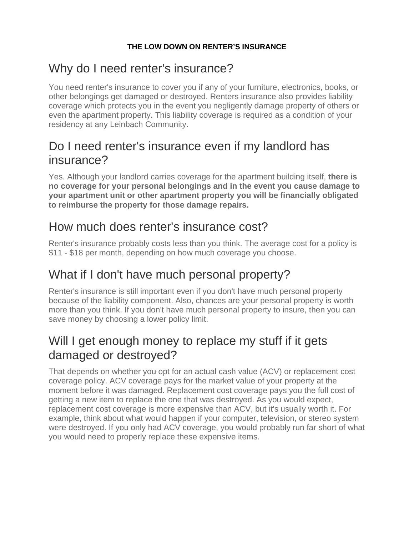#### **THE LOW DOWN ON RENTER'S INSURANCE**

# Why do I need renter's insurance?

You need renter's insurance to cover you if any of your furniture, electronics, books, or other belongings get damaged or destroyed. Renters insurance also provides liability coverage which protects you in the event you negligently damage property of others or even the apartment property. This liability coverage is required as a condition of your residency at any Leinbach Community.

## Do I need renter's insurance even if my landlord has insurance?

Yes. Although your landlord carries coverage for the apartment building itself, **there is no coverage for your personal belongings and in the event you cause damage to your apartment unit or other apartment property you will be financially obligated to reimburse the property for those damage repairs.**

# How much does renter's insurance cost?

Renter's insurance probably costs less than you think. The average cost for a policy is \$11 - \$18 per month, depending on how much coverage you choose.

# What if I don't have much personal property?

Renter's insurance is still important even if you don't have much personal property because of the liability component. Also, chances are your personal property is worth more than you think. If you don't have much personal property to insure, then you can save money by choosing a lower policy limit.

# Will I get enough money to replace my stuff if it gets damaged or destroyed?

That depends on whether you opt for an actual cash value (ACV) or replacement cost coverage policy. ACV coverage pays for the market value of your property at the moment before it was damaged. Replacement cost coverage pays you the full cost of getting a new item to replace the one that was destroyed. As you would expect, replacement cost coverage is more expensive than ACV, but it's usually worth it. For example, think about what would happen if your computer, television, or stereo system were destroyed. If you only had ACV coverage, you would probably run far short of what you would need to properly replace these expensive items.